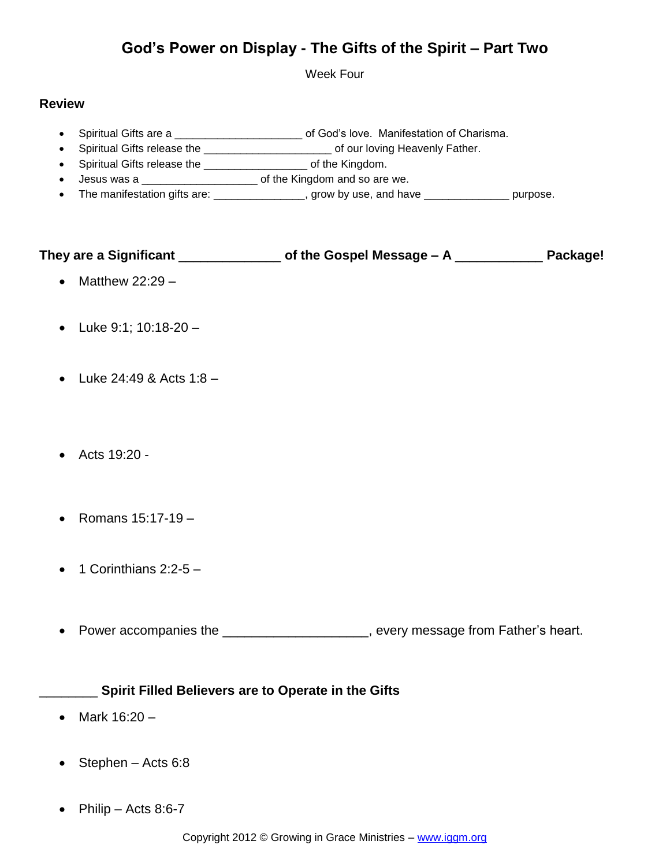# **God's Power on Display - The Gifts of the Spirit – Part Two**

Week Four

## **Review**

- Spiritual Gifts are a \_\_\_\_\_\_\_\_\_\_\_\_\_\_\_\_\_\_\_\_\_\_\_\_ of God's love. Manifestation of Charisma.
- Spiritual Gifts release the \_\_\_\_\_\_\_\_\_\_\_\_\_\_\_\_\_\_\_\_\_\_\_\_\_\_\_\_ of our loving Heavenly Father.
- Spiritual Gifts release the \_\_\_\_\_\_\_\_\_\_\_\_\_\_\_\_\_\_\_\_\_\_\_ of the Kingdom.
- Jesus was a \_\_\_\_\_\_\_\_\_\_\_\_\_\_\_\_\_\_\_\_\_\_\_\_\_\_\_ of the Kingdom and so are we.
- The manifestation gifts are: \_\_\_\_\_\_\_\_\_\_\_\_\_\_\_\_, grow by use, and have \_\_\_\_\_\_\_\_\_\_\_\_\_\_\_\_ purpose.

| They are a Significant | of the Gospel Message $- A$ | Package! |
|------------------------|-----------------------------|----------|
|                        |                             |          |

- Matthew  $22:29 -$
- Luke 9:1; 10:18-20 –
- Luke  $24:49$  & Acts  $1:8$  –
- Acts 19:20 -
- Romans  $15:17-19$  –
- 1 Corinthians 2:2-5 –
- Power accompanies the \_\_\_\_\_\_\_\_\_\_\_\_\_\_\_\_\_\_\_\_, every message from Father's heart.

## \_\_\_\_\_\_\_\_ **Spirit Filled Believers are to Operate in the Gifts**

- Mark  $16:20 -$
- $\bullet$  Stephen Acts 6:8
- Philip Acts 8:6-7